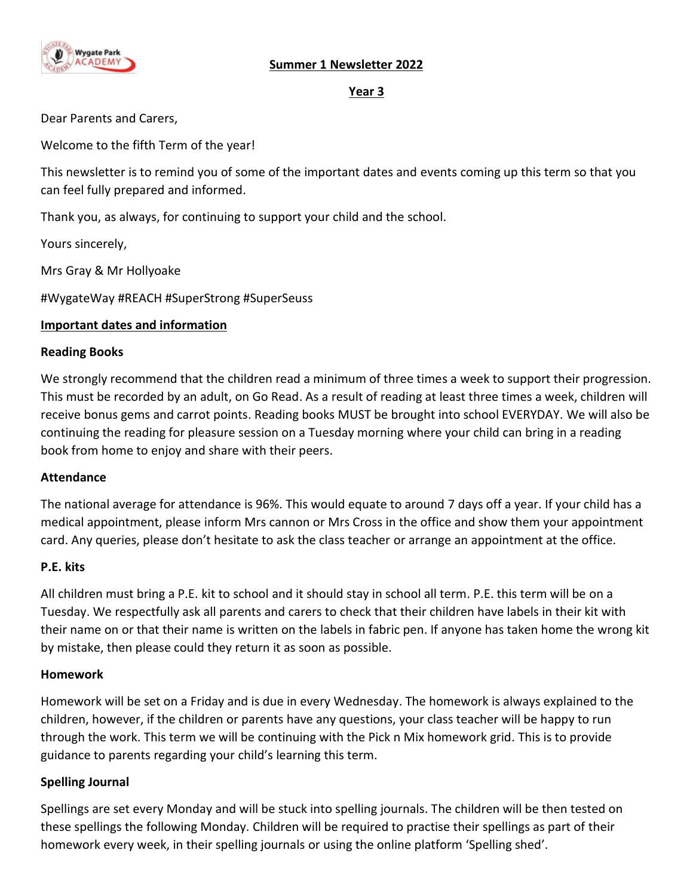# **Summer 1 Newsletter 2022**



#### **Year 3**

Dear Parents and Carers,

Welcome to the fifth Term of the year!

This newsletter is to remind you of some of the important dates and events coming up this term so that you can feel fully prepared and informed.

Thank you, as always, for continuing to support your child and the school.

Yours sincerely,

Mrs Gray & Mr Hollyoake

#WygateWay #REACH #SuperStrong #SuperSeuss

#### **Important dates and information**

#### **Reading Books**

We strongly recommend that the children read a minimum of three times a week to support their progression. This must be recorded by an adult, on Go Read. As a result of reading at least three times a week, children will receive bonus gems and carrot points. Reading books MUST be brought into school EVERYDAY. We will also be continuing the reading for pleasure session on a Tuesday morning where your child can bring in a reading book from home to enjoy and share with their peers.

#### **Attendance**

The national average for attendance is 96%. This would equate to around 7 days off a year. If your child has a medical appointment, please inform Mrs cannon or Mrs Cross in the office and show them your appointment card. Any queries, please don't hesitate to ask the class teacher or arrange an appointment at the office.

#### **P.E. kits**

All children must bring a P.E. kit to school and it should stay in school all term. P.E. this term will be on a Tuesday. We respectfully ask all parents and carers to check that their children have labels in their kit with their name on or that their name is written on the labels in fabric pen. If anyone has taken home the wrong kit by mistake, then please could they return it as soon as possible.

#### **Homework**

Homework will be set on a Friday and is due in every Wednesday. The homework is always explained to the children, however, if the children or parents have any questions, your class teacher will be happy to run through the work. This term we will be continuing with the Pick n Mix homework grid. This is to provide guidance to parents regarding your child's learning this term.

#### **Spelling Journal**

Spellings are set every Monday and will be stuck into spelling journals. The children will be then tested on these spellings the following Monday. Children will be required to practise their spellings as part of their homework every week, in their spelling journals or using the online platform 'Spelling shed'.